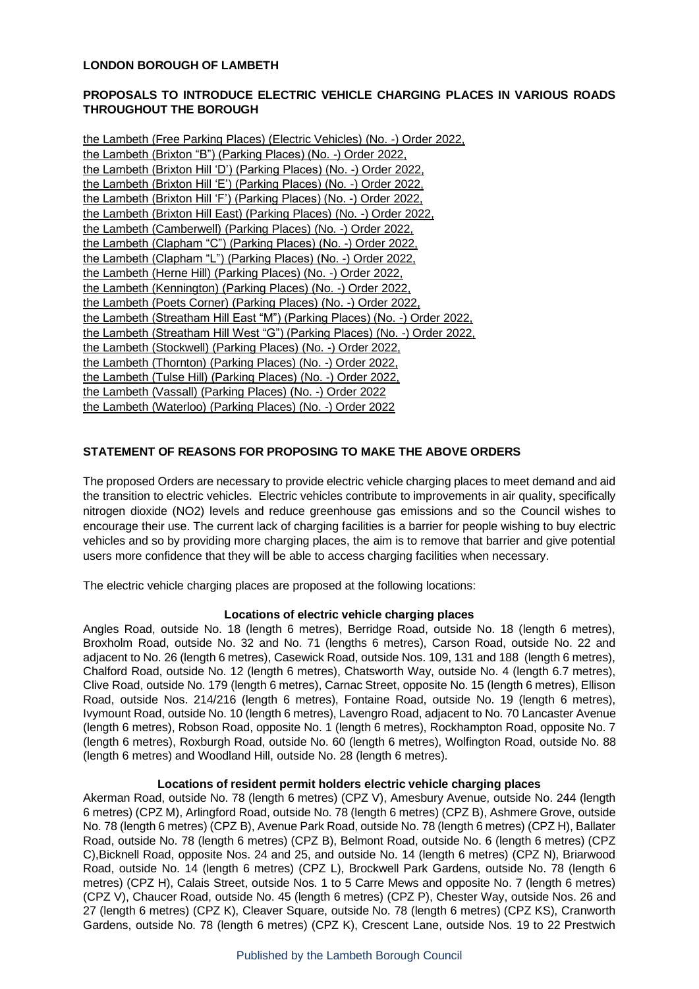## **LONDON BOROUGH OF LAMBETH**

# **PROPOSALS TO INTRODUCE ELECTRIC VEHICLE CHARGING PLACES IN VARIOUS ROADS THROUGHOUT THE BOROUGH**

| the Lambeth (Free Parking Places) (Electric Vehicles) (No. -) Order 2022,  |
|----------------------------------------------------------------------------|
| the Lambeth (Brixton "B") (Parking Places) (No. -) Order 2022.             |
| the Lambeth (Brixton Hill 'D') (Parking Places) (No. -) Order 2022,        |
| the Lambeth (Brixton Hill 'E') (Parking Places) (No. -) Order 2022,        |
| the Lambeth (Brixton Hill 'F') (Parking Places) (No. -) Order 2022,        |
| the Lambeth (Brixton Hill East) (Parking Places) (No. -) Order 2022,       |
| the Lambeth (Camberwell) (Parking Places) (No. -) Order 2022,              |
| the Lambeth (Clapham "C") (Parking Places) (No. -) Order 2022,             |
| the Lambeth (Clapham "L") (Parking Places) (No. -) Order 2022,             |
| the Lambeth (Herne Hill) (Parking Places) (No. -) Order 2022,              |
| the Lambeth (Kennington) (Parking Places) (No. -) Order 2022,              |
| the Lambeth (Poets Corner) (Parking Places) (No. -) Order 2022,            |
| the Lambeth (Streatham Hill East "M") (Parking Places) (No. -) Order 2022, |
| the Lambeth (Streatham Hill West "G") (Parking Places) (No. -) Order 2022, |
| the Lambeth (Stockwell) (Parking Places) (No. -) Order 2022,               |
| the Lambeth (Thornton) (Parking Places) (No. -) Order 2022,                |
| the Lambeth (Tulse Hill) (Parking Places) (No. -) Order 2022,              |
| the Lambeth (Vassall) (Parking Places) (No. -) Order 2022                  |
| the Lambeth (Waterloo) (Parking Places) (No. -) Order 2022                 |

### **STATEMENT OF REASONS FOR PROPOSING TO MAKE THE ABOVE ORDERS**

The proposed Orders are necessary to provide electric vehicle charging places to meet demand and aid the transition to electric vehicles. Electric vehicles contribute to improvements in air quality, specifically nitrogen dioxide (NO2) levels and reduce greenhouse gas emissions and so the Council wishes to encourage their use. The current lack of charging facilities is a barrier for people wishing to buy electric vehicles and so by providing more charging places, the aim is to remove that barrier and give potential users more confidence that they will be able to access charging facilities when necessary.

The electric vehicle charging places are proposed at the following locations:

#### **Locations of electric vehicle charging places**

Angles Road, outside No. 18 (length 6 metres), Berridge Road, outside No. 18 (length 6 metres), Broxholm Road, outside No. 32 and No. 71 (lengths 6 metres), Carson Road, outside No. 22 and adjacent to No. 26 (length 6 metres), Casewick Road, outside Nos. 109, 131 and 188 (length 6 metres), Chalford Road, outside No. 12 (length 6 metres), Chatsworth Way, outside No. 4 (length 6.7 metres), Clive Road, outside No. 179 (length 6 metres), Carnac Street, opposite No. 15 (length 6 metres), Ellison Road, outside Nos. 214/216 (length 6 metres), Fontaine Road, outside No. 19 (length 6 metres), Ivymount Road, outside No. 10 (length 6 metres), Lavengro Road, adjacent to No. 70 Lancaster Avenue (length 6 metres), Robson Road, opposite No. 1 (length 6 metres), Rockhampton Road, opposite No. 7 (length 6 metres), Roxburgh Road, outside No. 60 (length 6 metres), Wolfington Road, outside No. 88 (length 6 metres) and Woodland Hill, outside No. 28 (length 6 metres).

#### **Locations of resident permit holders electric vehicle charging places**

Akerman Road, outside No. 78 (length 6 metres) (CPZ V), Amesbury Avenue, outside No. 244 (length 6 metres) (CPZ M), Arlingford Road, outside No. 78 (length 6 metres) (CPZ B), Ashmere Grove, outside No. 78 (length 6 metres) (CPZ B), Avenue Park Road, outside No. 78 (length 6 metres) (CPZ H), Ballater Road, outside No. 78 (length 6 metres) (CPZ B), Belmont Road, outside No. 6 (length 6 metres) (CPZ C),Bicknell Road, opposite Nos. 24 and 25, and outside No. 14 (length 6 metres) (CPZ N), Briarwood Road, outside No. 14 (length 6 metres) (CPZ L), Brockwell Park Gardens, outside No. 78 (length 6 metres) (CPZ H), Calais Street, outside Nos. 1 to 5 Carre Mews and opposite No. 7 (length 6 metres) (CPZ V), Chaucer Road, outside No. 45 (length 6 metres) (CPZ P), Chester Way, outside Nos. 26 and 27 (length 6 metres) (CPZ K), Cleaver Square, outside No. 78 (length 6 metres) (CPZ KS), Cranworth Gardens, outside No. 78 (length 6 metres) (CPZ K), Crescent Lane, outside Nos. 19 to 22 Prestwich